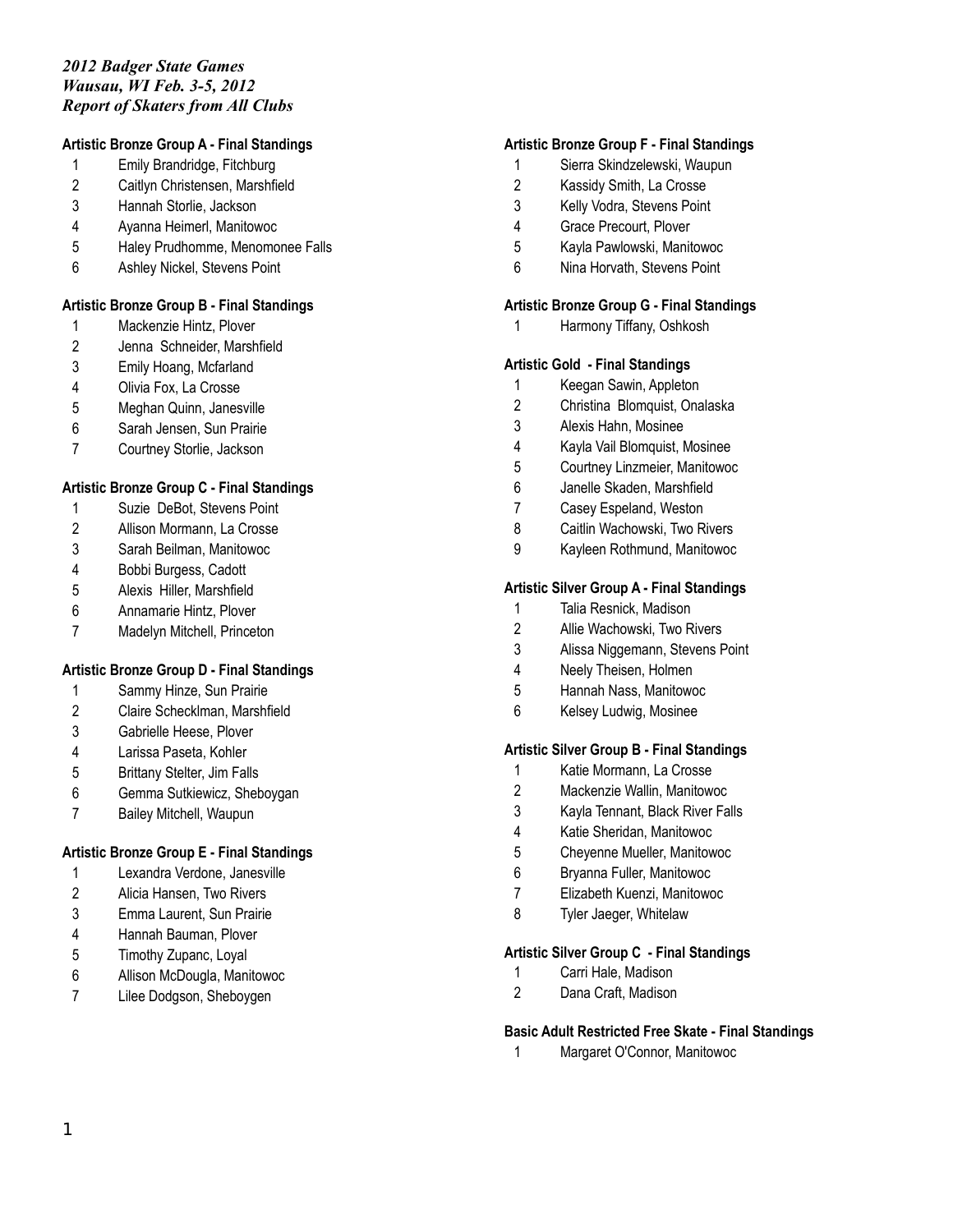# **Artistic Bronze Group A - Final Standings**

- Emily Brandridge, Fitchburg
- Caitlyn Christensen, Marshfield
- Hannah Storlie, Jackson
- Ayanna Heimerl, Manitowoc
- Haley Prudhomme, Menomonee Falls
- Ashley Nickel, Stevens Point

# **Artistic Bronze Group B - Final Standings**

- Mackenzie Hintz, Plover
- Jenna Schneider, Marshfield
- Emily Hoang, Mcfarland
- Olivia Fox, La Crosse
- Meghan Quinn, Janesville
- Sarah Jensen, Sun Prairie
- Courtney Storlie, Jackson

# **Artistic Bronze Group C - Final Standings**

- Suzie DeBot, Stevens Point
- Allison Mormann, La Crosse
- Sarah Beilman, Manitowoc
- Bobbi Burgess, Cadott
- Alexis Hiller, Marshfield
- Annamarie Hintz, Plover
- Madelyn Mitchell, Princeton

# **Artistic Bronze Group D - Final Standings**

- Sammy Hinze, Sun Prairie
- Claire Schecklman, Marshfield
- Gabrielle Heese, Plover
- Larissa Paseta, Kohler
- Brittany Stelter, Jim Falls
- Gemma Sutkiewicz, Sheboygan
- Bailey Mitchell, Waupun

# **Artistic Bronze Group E - Final Standings**

- Lexandra Verdone, Janesville
- Alicia Hansen, Two Rivers
- Emma Laurent, Sun Prairie
- Hannah Bauman, Plover
- Timothy Zupanc, Loyal
- Allison McDougla, Manitowoc
- Lilee Dodgson, Sheboygen

### **Artistic Bronze Group F - Final Standings**

- Sierra Skindzelewski, Waupun
- Kassidy Smith, La Crosse
- Kelly Vodra, Stevens Point
- Grace Precourt, Plover
- Kayla Pawlowski, Manitowoc
- Nina Horvath, Stevens Point

#### **Artistic Bronze Group G - Final Standings**

Harmony Tiffany, Oshkosh

### **Artistic Gold - Final Standings**

- Keegan Sawin, Appleton
- Christina Blomquist, Onalaska
- Alexis Hahn, Mosinee
- Kayla Vail Blomquist, Mosinee
- Courtney Linzmeier, Manitowoc
- Janelle Skaden, Marshfield
- Casey Espeland, Weston
- Caitlin Wachowski, Two Rivers
- Kayleen Rothmund, Manitowoc

### **Artistic Silver Group A - Final Standings**

- Talia Resnick, Madison
- Allie Wachowski, Two Rivers
- Alissa Niggemann, Stevens Point
- Neely Theisen, Holmen
- Hannah Nass, Manitowoc
- Kelsey Ludwig, Mosinee

#### **Artistic Silver Group B - Final Standings**

- Katie Mormann, La Crosse
- Mackenzie Wallin, Manitowoc
- Kayla Tennant, Black River Falls
- Katie Sheridan, Manitowoc
- Cheyenne Mueller, Manitowoc
- Bryanna Fuller, Manitowoc
- Elizabeth Kuenzi, Manitowoc
- Tyler Jaeger, Whitelaw

#### **Artistic Silver Group C - Final Standings**

- Carri Hale, Madison
- Dana Craft, Madison

#### **Basic Adult Restricted Free Skate - Final Standings**

Margaret O'Connor, Manitowoc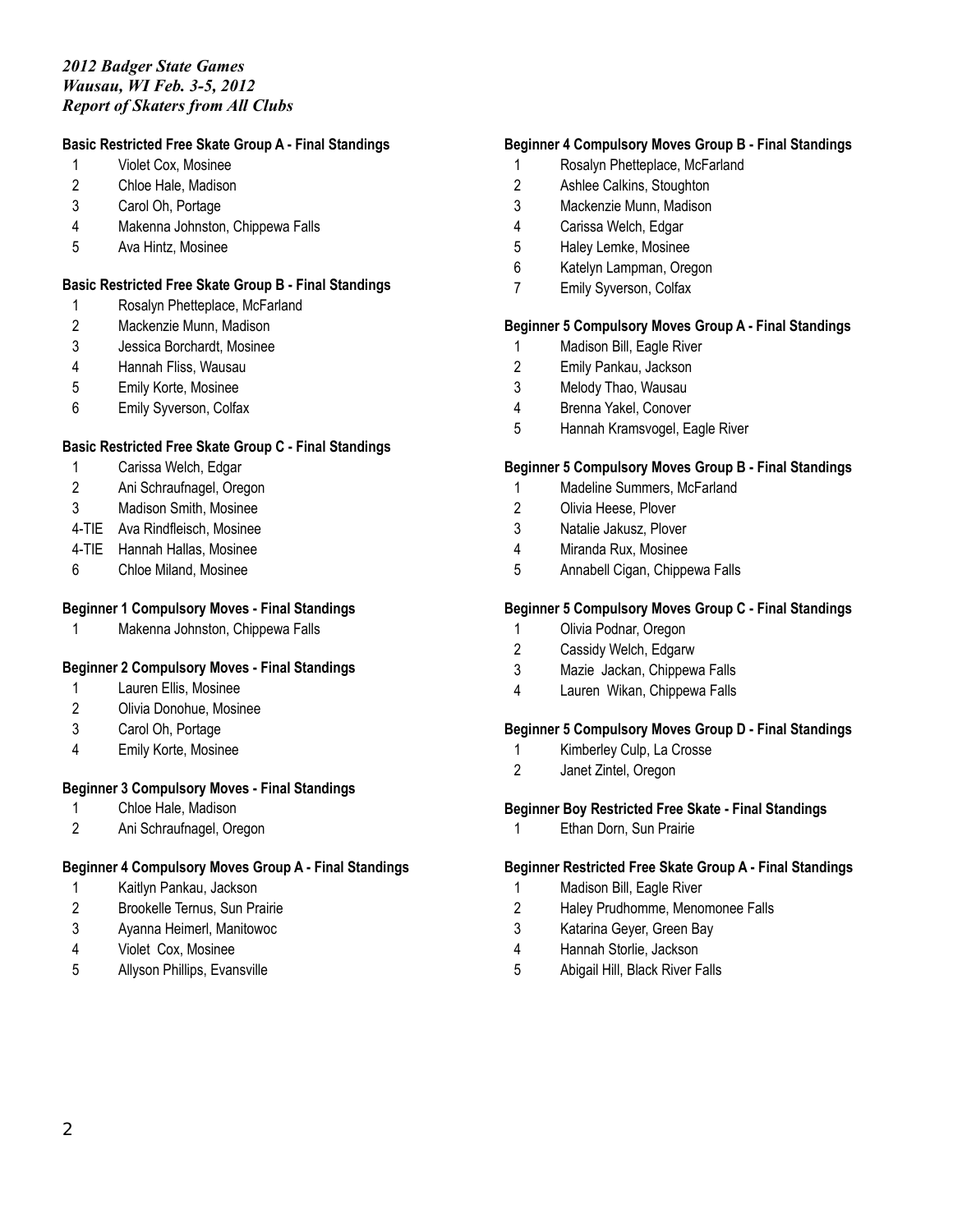# **Basic Restricted Free Skate Group A - Final Standings**

- Violet Cox, Mosinee
- Chloe Hale, Madison
- Carol Oh, Portage
- Makenna Johnston, Chippewa Falls
- Ava Hintz, Mosinee

# **Basic Restricted Free Skate Group B - Final Standings**

- Rosalyn Phetteplace, McFarland
- Mackenzie Munn, Madison
- Jessica Borchardt, Mosinee
- Hannah Fliss, Wausau
- Emily Korte, Mosinee
- Emily Syverson, Colfax

#### **Basic Restricted Free Skate Group C - Final Standings**

- Carissa Welch, Edgar
- Ani Schraufnagel, Oregon
- Madison Smith, Mosinee
- 4-TIE Ava Rindfleisch, Mosinee
- 4-TIE Hannah Hallas, Mosinee
- Chloe Miland, Mosinee

#### **Beginner 1 Compulsory Moves - Final Standings**

Makenna Johnston, Chippewa Falls

# **Beginner 2 Compulsory Moves - Final Standings**

- Lauren Ellis, Mosinee
- Olivia Donohue, Mosinee
- Carol Oh, Portage
- Emily Korte, Mosinee

#### **Beginner 3 Compulsory Moves - Final Standings**

- Chloe Hale, Madison
- Ani Schraufnagel, Oregon

#### **Beginner 4 Compulsory Moves Group A - Final Standings**

- Kaitlyn Pankau, Jackson
- Brookelle Ternus, Sun Prairie
- Ayanna Heimerl, Manitowoc
- Violet Cox, Mosinee
- Allyson Phillips, Evansville

#### **Beginner 4 Compulsory Moves Group B - Final Standings**

- Rosalyn Phetteplace, McFarland
- Ashlee Calkins, Stoughton
- Mackenzie Munn, Madison
- Carissa Welch, Edgar
- Haley Lemke, Mosinee
- Katelyn Lampman, Oregon
- Emily Syverson, Colfax

## **Beginner 5 Compulsory Moves Group A - Final Standings**

- Madison Bill, Eagle River
- Emily Pankau, Jackson
- Melody Thao, Wausau
- Brenna Yakel, Conover
- Hannah Kramsvogel, Eagle River

#### **Beginner 5 Compulsory Moves Group B - Final Standings**

- Madeline Summers, McFarland
- Olivia Heese, Plover
- Natalie Jakusz, Plover
- Miranda Rux, Mosinee
- Annabell Cigan, Chippewa Falls

#### **Beginner 5 Compulsory Moves Group C - Final Standings**

- Olivia Podnar, Oregon
- Cassidy Welch, Edgarw
- Mazie Jackan, Chippewa Falls
- Lauren Wikan, Chippewa Falls

# **Beginner 5 Compulsory Moves Group D - Final Standings**

- Kimberley Culp, La Crosse
- Janet Zintel, Oregon

#### **Beginner Boy Restricted Free Skate - Final Standings**

Ethan Dorn, Sun Prairie

#### **Beginner Restricted Free Skate Group A - Final Standings**

- Madison Bill, Eagle River
- Haley Prudhomme, Menomonee Falls
- Katarina Geyer, Green Bay
- Hannah Storlie, Jackson
- Abigail Hill, Black River Falls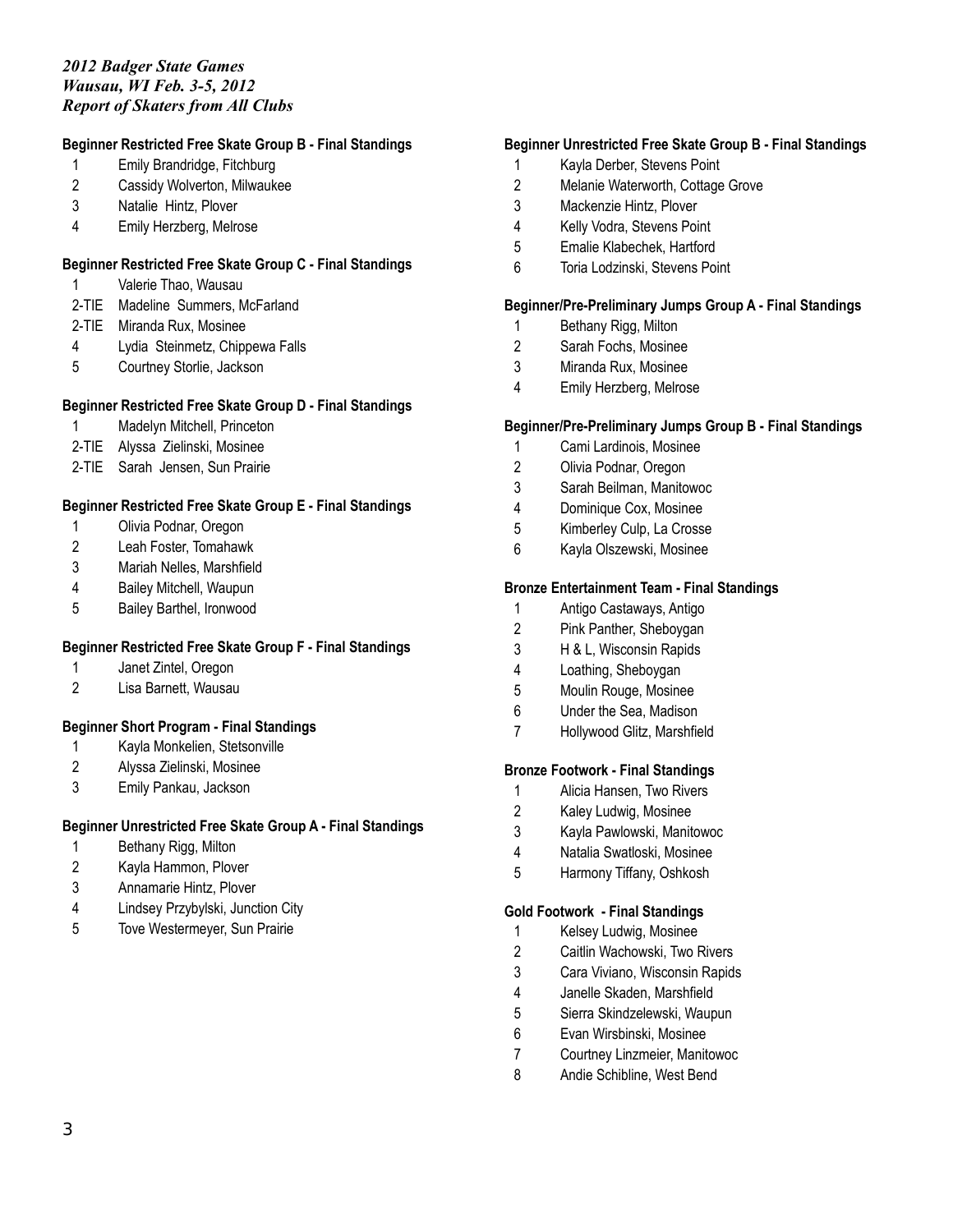# **Beginner Restricted Free Skate Group B - Final Standings**

- Emily Brandridge, Fitchburg
- Cassidy Wolverton, Milwaukee
- Natalie Hintz, Plover
- Emily Herzberg, Melrose

# **Beginner Restricted Free Skate Group C - Final Standings**

- Valerie Thao, Wausau
- 2-TIE Madeline Summers, McFarland
- 2-TIE Miranda Rux, Mosinee
- Lydia Steinmetz, Chippewa Falls
- Courtney Storlie, Jackson

# **Beginner Restricted Free Skate Group D - Final Standings**

- Madelyn Mitchell, Princeton
- 2-TIE Alyssa Zielinski, Mosinee
- 2-TIE Sarah Jensen, Sun Prairie

# **Beginner Restricted Free Skate Group E - Final Standings**

- Olivia Podnar, Oregon
- Leah Foster, Tomahawk
- Mariah Nelles, Marshfield
- Bailey Mitchell, Waupun
- Bailey Barthel, Ironwood

# **Beginner Restricted Free Skate Group F - Final Standings**

- Janet Zintel, Oregon
- Lisa Barnett, Wausau

# **Beginner Short Program - Final Standings**

- Kayla Monkelien, Stetsonville
- Alyssa Zielinski, Mosinee
- Emily Pankau, Jackson

# **Beginner Unrestricted Free Skate Group A - Final Standings**

- Bethany Rigg, Milton
- Kayla Hammon, Plover
- Annamarie Hintz, Plover
- Lindsey Przybylski, Junction City
- Tove Westermeyer, Sun Prairie

# **Beginner Unrestricted Free Skate Group B - Final Standings**

- Kayla Derber, Stevens Point
- Melanie Waterworth, Cottage Grove
- Mackenzie Hintz, Plover
- Kelly Vodra, Stevens Point
- Emalie Klabechek, Hartford
- Toria Lodzinski, Stevens Point

# **Beginner/Pre-Preliminary Jumps Group A - Final Standings**

- Bethany Rigg, Milton
- Sarah Fochs, Mosinee
- Miranda Rux, Mosinee
- Emily Herzberg, Melrose

# **Beginner/Pre-Preliminary Jumps Group B - Final Standings**

- Cami Lardinois, Mosinee
- Olivia Podnar, Oregon
- Sarah Beilman, Manitowoc
- Dominique Cox, Mosinee
- Kimberley Culp, La Crosse
- Kayla Olszewski, Mosinee

### **Bronze Entertainment Team - Final Standings**

- Antigo Castaways, Antigo
- Pink Panther, Sheboygan
- H & L, Wisconsin Rapids
- Loathing, Sheboygan
- Moulin Rouge, Mosinee
- Under the Sea, Madison
- Hollywood Glitz, Marshfield

#### **Bronze Footwork - Final Standings**

- Alicia Hansen, Two Rivers
- Kaley Ludwig, Mosinee
- Kayla Pawlowski, Manitowoc
- Natalia Swatloski, Mosinee
- Harmony Tiffany, Oshkosh

#### **Gold Footwork - Final Standings**

- Kelsey Ludwig, Mosinee
- Caitlin Wachowski, Two Rivers
- Cara Viviano, Wisconsin Rapids
- Janelle Skaden, Marshfield
- Sierra Skindzelewski, Waupun
- Evan Wirsbinski, Mosinee
- Courtney Linzmeier, Manitowoc
- Andie Schibline, West Bend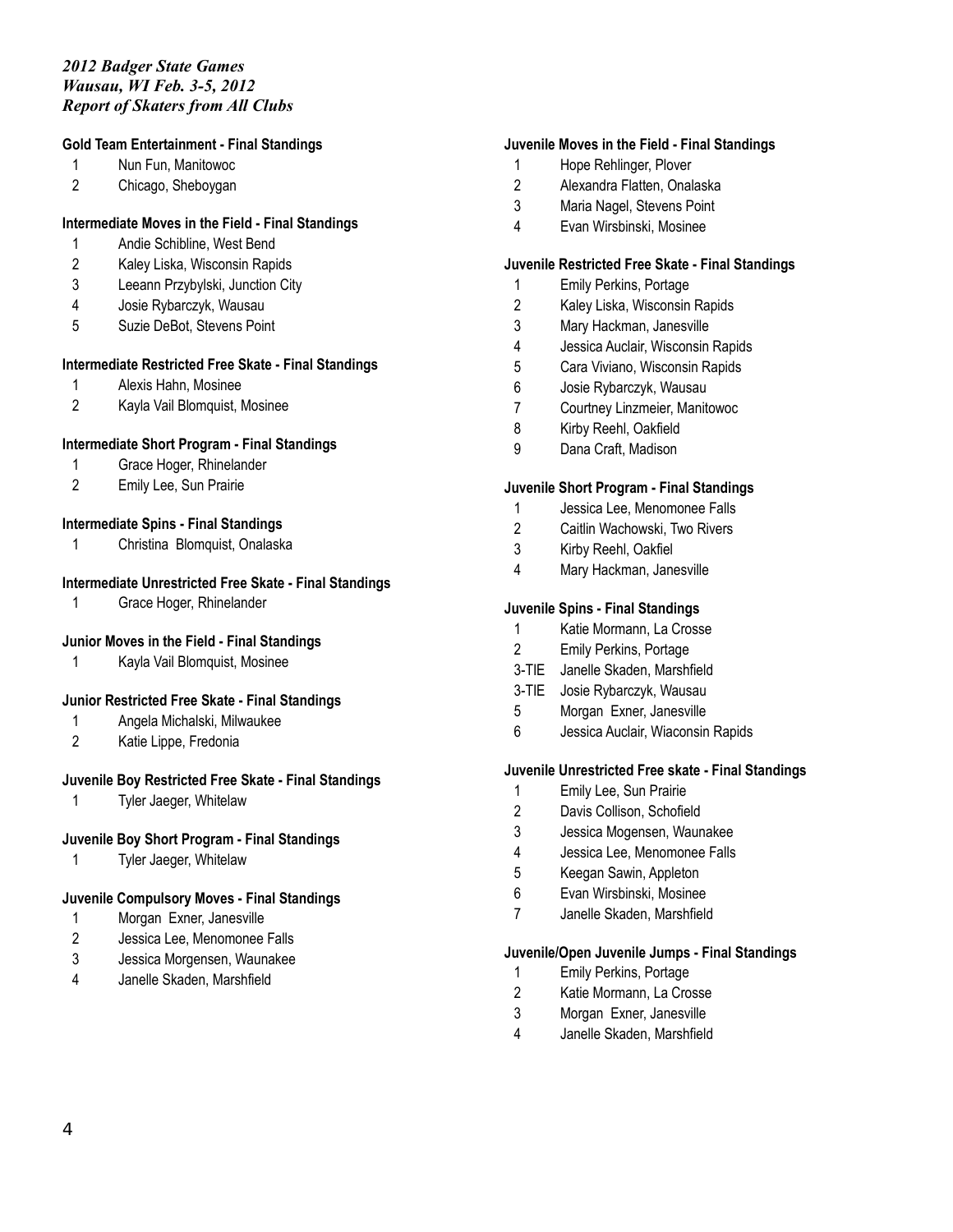#### **Gold Team Entertainment - Final Standings**

- Nun Fun, Manitowoc
- Chicago, Sheboygan

# **Intermediate Moves in the Field - Final Standings**

- Andie Schibline, West Bend
- Kaley Liska, Wisconsin Rapids
- Leeann Przybylski, Junction City
- Josie Rybarczyk, Wausau
- Suzie DeBot, Stevens Point

# **Intermediate Restricted Free Skate - Final Standings**

- Alexis Hahn, Mosinee
- Kayla Vail Blomquist, Mosinee

### **Intermediate Short Program - Final Standings**

- Grace Hoger, Rhinelander
- Emily Lee, Sun Prairie

# **Intermediate Spins - Final Standings**

Christina Blomquist, Onalaska

### **Intermediate Unrestricted Free Skate - Final Standings**

Grace Hoger, Rhinelander

# **Junior Moves in the Field - Final Standings**

Kayla Vail Blomquist, Mosinee

# **Junior Restricted Free Skate - Final Standings**

- Angela Michalski, Milwaukee
- Katie Lippe, Fredonia

# **Juvenile Boy Restricted Free Skate - Final Standings**

Tyler Jaeger, Whitelaw

### **Juvenile Boy Short Program - Final Standings**

Tyler Jaeger, Whitelaw

#### **Juvenile Compulsory Moves - Final Standings**

- Morgan Exner, Janesville
- Jessica Lee, Menomonee Falls
- Jessica Morgensen, Waunakee
- Janelle Skaden, Marshfield

#### **Juvenile Moves in the Field - Final Standings**

- Hope Rehlinger, Plover
- Alexandra Flatten, Onalaska
- Maria Nagel, Stevens Point
- Evan Wirsbinski, Mosinee

# **Juvenile Restricted Free Skate - Final Standings**

- Emily Perkins, Portage
- Kaley Liska, Wisconsin Rapids
- Mary Hackman, Janesville
- Jessica Auclair, Wisconsin Rapids
- Cara Viviano, Wisconsin Rapids
- Josie Rybarczyk, Wausau
- Courtney Linzmeier, Manitowoc
- Kirby Reehl, Oakfield
- Dana Craft, Madison

#### **Juvenile Short Program - Final Standings**

- Jessica Lee, Menomonee Falls
- Caitlin Wachowski, Two Rivers
- Kirby Reehl, Oakfiel
- Mary Hackman, Janesville

### **Juvenile Spins - Final Standings**

- Katie Mormann, La Crosse
- Emily Perkins, Portage
- 3-TIE Janelle Skaden, Marshfield
- 3-TIE Josie Rybarczyk, Wausau
- Morgan Exner, Janesville
- Jessica Auclair, Wiaconsin Rapids

#### **Juvenile Unrestricted Free skate - Final Standings**

- Emily Lee, Sun Prairie
- Davis Collison, Schofield
- Jessica Mogensen, Waunakee
- Jessica Lee, Menomonee Falls
- Keegan Sawin, Appleton
- Evan Wirsbinski, Mosinee
- Janelle Skaden, Marshfield

#### **Juvenile/Open Juvenile Jumps - Final Standings**

- Emily Perkins, Portage
- Katie Mormann, La Crosse
- Morgan Exner, Janesville
- Janelle Skaden, Marshfield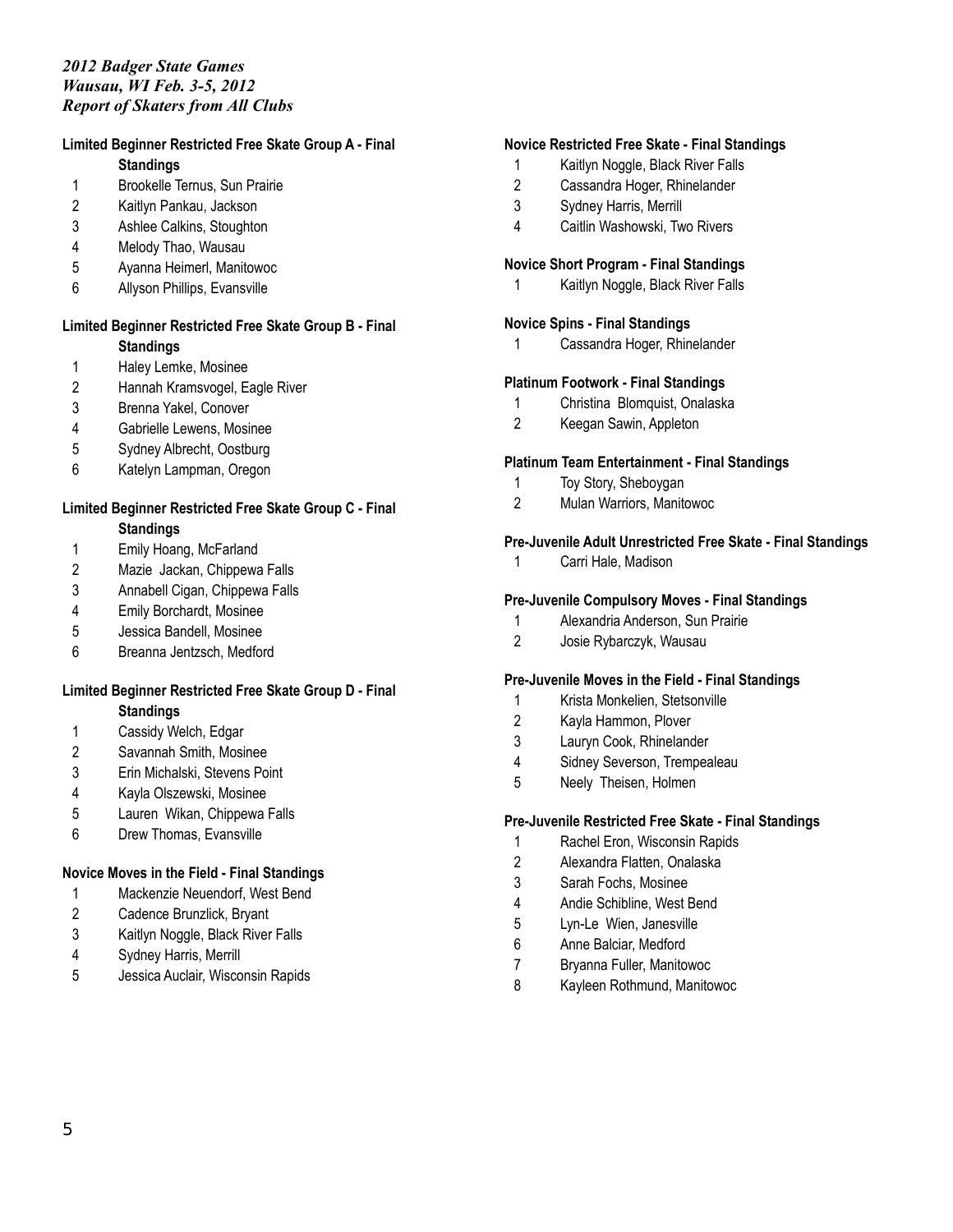# **Limited Beginner Restricted Free Skate Group A - Final**

**Standings**

- Brookelle Ternus, Sun Prairie
- Kaitlyn Pankau, Jackson
- Ashlee Calkins, Stoughton
- Melody Thao, Wausau
- Ayanna Heimerl, Manitowoc
- Allyson Phillips, Evansville

#### **Limited Beginner Restricted Free Skate Group B - Final Standings**

- Haley Lemke, Mosinee
- Hannah Kramsvogel, Eagle River
- Brenna Yakel, Conover
- Gabrielle Lewens, Mosinee
- Sydney Albrecht, Oostburg
- Katelyn Lampman, Oregon

#### **Limited Beginner Restricted Free Skate Group C - Final Standings**

- Emily Hoang, McFarland
- Mazie Jackan, Chippewa Falls
- Annabell Cigan, Chippewa Falls
- Emily Borchardt, Mosinee
- Jessica Bandell, Mosinee
- Breanna Jentzsch, Medford

# **Limited Beginner Restricted Free Skate Group D - Final**

**Standings**

- Cassidy Welch, Edgar
- Savannah Smith, Mosinee
- Erin Michalski, Stevens Point
- Kayla Olszewski, Mosinee
- Lauren Wikan, Chippewa Falls
- Drew Thomas, Evansville

# **Novice Moves in the Field - Final Standings**

- Mackenzie Neuendorf, West Bend
- Cadence Brunzlick, Bryant
- Kaitlyn Noggle, Black River Falls
- Sydney Harris, Merrill
- Jessica Auclair, Wisconsin Rapids

### **Novice Restricted Free Skate - Final Standings**

- Kaitlyn Noggle, Black River Falls
- Cassandra Hoger, Rhinelander
- Sydney Harris, Merrill
- Caitlin Washowski, Two Rivers

# **Novice Short Program - Final Standings**

Kaitlyn Noggle, Black River Falls

### **Novice Spins - Final Standings**

Cassandra Hoger, Rhinelander

#### **Platinum Footwork - Final Standings**

- Christina Blomquist, Onalaska
- Keegan Sawin, Appleton

#### **Platinum Team Entertainment - Final Standings**

- Toy Story, Sheboygan
- Mulan Warriors, Manitowoc

### **Pre-Juvenile Adult Unrestricted Free Skate - Final Standings**

Carri Hale, Madison

# **Pre-Juvenile Compulsory Moves - Final Standings**

- Alexandria Anderson, Sun Prairie
- Josie Rybarczyk, Wausau

#### **Pre-Juvenile Moves in the Field - Final Standings**

- Krista Monkelien, Stetsonville
- Kayla Hammon, Plover
- Lauryn Cook, Rhinelander
- Sidney Severson, Trempealeau
- Neely Theisen, Holmen

#### **Pre-Juvenile Restricted Free Skate - Final Standings**

- Rachel Eron, Wisconsin Rapids
- Alexandra Flatten, Onalaska
- Sarah Fochs, Mosinee
- Andie Schibline, West Bend
- Lyn-Le Wien, Janesville
- Anne Balciar, Medford
- Bryanna Fuller, Manitowoc
- Kayleen Rothmund, Manitowoc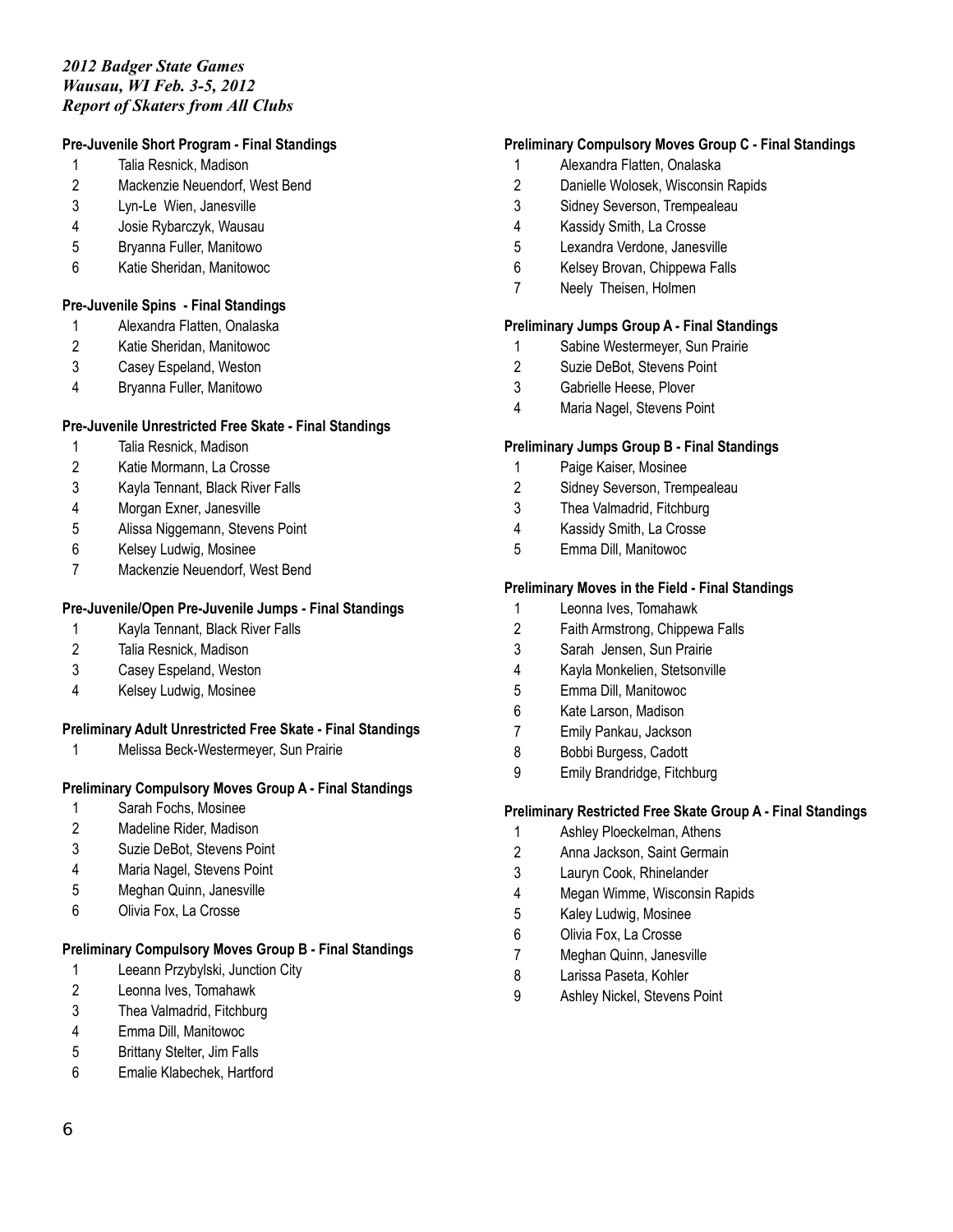# **Pre-Juvenile Short Program - Final Standings**

- Talia Resnick, Madison
- Mackenzie Neuendorf, West Bend
- Lyn-Le Wien, Janesville
- Josie Rybarczyk, Wausau
- Bryanna Fuller, Manitowo
- Katie Sheridan, Manitowoc

#### **Pre-Juvenile Spins - Final Standings**

- Alexandra Flatten, Onalaska
- Katie Sheridan, Manitowoc
- Casey Espeland, Weston
- Bryanna Fuller, Manitowo

#### **Pre-Juvenile Unrestricted Free Skate - Final Standings**

- Talia Resnick, Madison
- Katie Mormann, La Crosse
- Kayla Tennant, Black River Falls
- Morgan Exner, Janesville
- Alissa Niggemann, Stevens Point
- Kelsey Ludwig, Mosinee
- Mackenzie Neuendorf, West Bend

#### **Pre-Juvenile/Open Pre-Juvenile Jumps - Final Standings**

- Kayla Tennant, Black River Falls
- Talia Resnick, Madison
- Casey Espeland, Weston
- Kelsey Ludwig, Mosinee

# **Preliminary Adult Unrestricted Free Skate - Final Standings**

Melissa Beck-Westermeyer, Sun Prairie

## **Preliminary Compulsory Moves Group A - Final Standings**

- Sarah Fochs, Mosinee
- Madeline Rider, Madison
- Suzie DeBot, Stevens Point
- Maria Nagel, Stevens Point
- Meghan Quinn, Janesville
- Olivia Fox, La Crosse

# **Preliminary Compulsory Moves Group B - Final Standings**

- Leeann Przybylski, Junction City
- Leonna Ives, Tomahawk
- Thea Valmadrid, Fitchburg
- Emma Dill, Manitowoc
- Brittany Stelter, Jim Falls
- Emalie Klabechek, Hartford

#### **Preliminary Compulsory Moves Group C - Final Standings**

- Alexandra Flatten, Onalaska
- Danielle Wolosek, Wisconsin Rapids
- Sidney Severson, Trempealeau
- Kassidy Smith, La Crosse
- Lexandra Verdone, Janesville
- Kelsey Brovan, Chippewa Falls
- Neely Theisen, Holmen

# **Preliminary Jumps Group A - Final Standings**

- Sabine Westermeyer, Sun Prairie
- Suzie DeBot, Stevens Point
- Gabrielle Heese, Plover
- Maria Nagel, Stevens Point

#### **Preliminary Jumps Group B - Final Standings**

- Paige Kaiser, Mosinee
- Sidney Severson, Trempealeau
- Thea Valmadrid, Fitchburg
- Kassidy Smith, La Crosse
- Emma Dill, Manitowoc

#### **Preliminary Moves in the Field - Final Standings**

- Leonna Ives, Tomahawk
- Faith Armstrong, Chippewa Falls
- Sarah Jensen, Sun Prairie
- Kayla Monkelien, Stetsonville
- Emma Dill, Manitowoc
- Kate Larson, Madison
- Emily Pankau, Jackson
- Bobbi Burgess, Cadott
- Emily Brandridge, Fitchburg

#### **Preliminary Restricted Free Skate Group A - Final Standings**

- Ashley Ploeckelman, Athens
- Anna Jackson, Saint Germain
- Lauryn Cook, Rhinelander
- Megan Wimme, Wisconsin Rapids
- Kaley Ludwig, Mosinee
- Olivia Fox, La Crosse
- Meghan Quinn, Janesville
- Larissa Paseta, Kohler
- Ashley Nickel, Stevens Point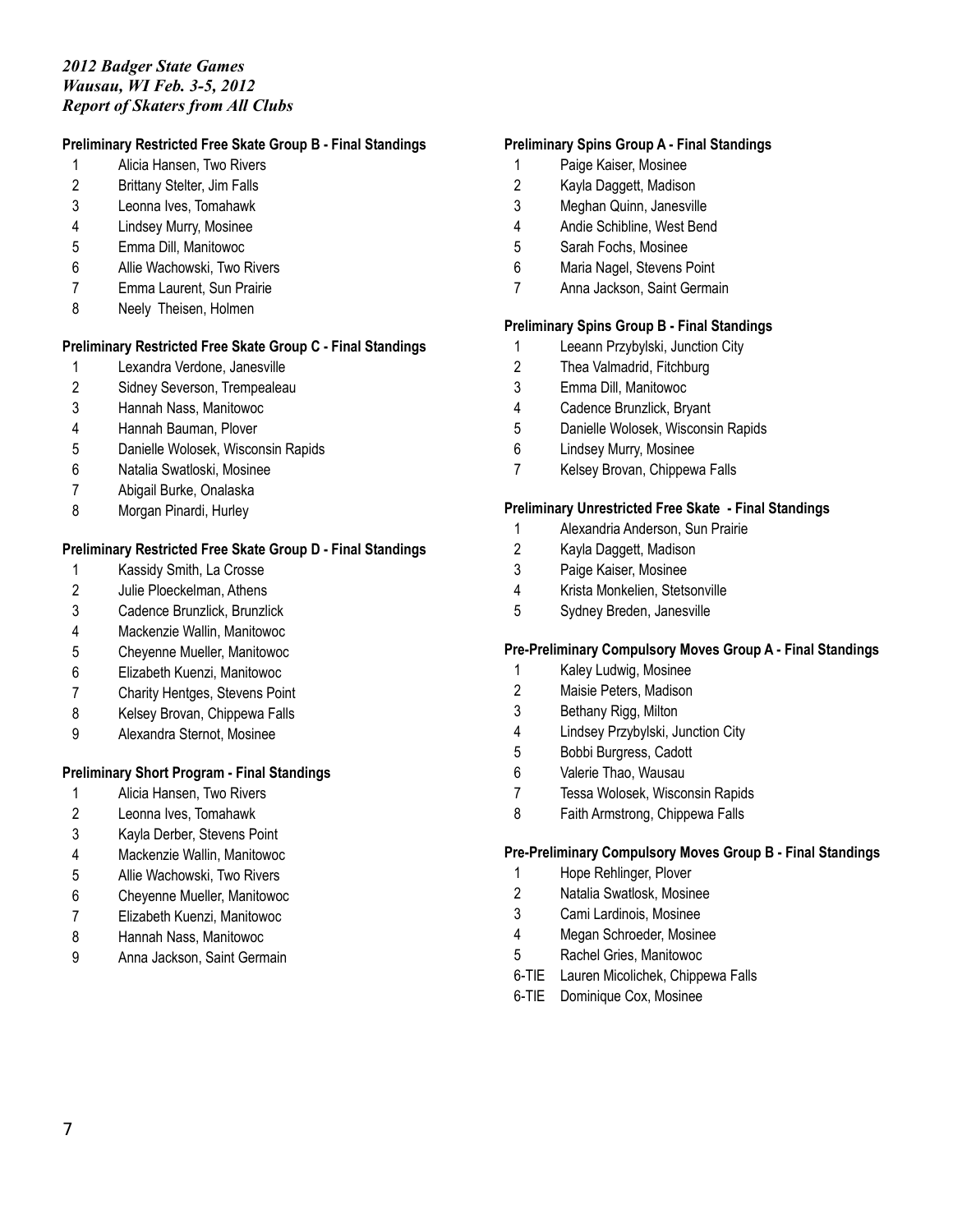# **Preliminary Restricted Free Skate Group B - Final Standings**

- Alicia Hansen, Two Rivers
- Brittany Stelter, Jim Falls
- Leonna Ives, Tomahawk
- Lindsey Murry, Mosinee
- Emma Dill, Manitowoc
- Allie Wachowski, Two Rivers
- Emma Laurent, Sun Prairie
- Neely Theisen, Holmen

### **Preliminary Restricted Free Skate Group C - Final Standings**

- Lexandra Verdone, Janesville
- Sidney Severson, Trempealeau
- Hannah Nass, Manitowoc
- Hannah Bauman, Plover
- Danielle Wolosek, Wisconsin Rapids
- Natalia Swatloski, Mosinee
- Abigail Burke, Onalaska
- Morgan Pinardi, Hurley

### **Preliminary Restricted Free Skate Group D - Final Standings**

- Kassidy Smith, La Crosse
- Julie Ploeckelman, Athens
- Cadence Brunzlick, Brunzlick
- Mackenzie Wallin, Manitowoc
- Cheyenne Mueller, Manitowoc
- Elizabeth Kuenzi, Manitowoc
- Charity Hentges, Stevens Point
- 8 Kelsey Brovan, Chippewa Falls
- Alexandra Sternot, Mosinee

# **Preliminary Short Program - Final Standings**

- Alicia Hansen, Two Rivers
- Leonna Ives, Tomahawk
- Kayla Derber, Stevens Point
- Mackenzie Wallin, Manitowoc
- Allie Wachowski, Two Rivers
- Cheyenne Mueller, Manitowoc
- Elizabeth Kuenzi, Manitowoc
- Hannah Nass, Manitowoc
- Anna Jackson, Saint Germain

#### **Preliminary Spins Group A - Final Standings**

- Paige Kaiser, Mosinee
- Kayla Daggett, Madison
- Meghan Quinn, Janesville
- Andie Schibline, West Bend
- Sarah Fochs, Mosinee
- Maria Nagel, Stevens Point
- Anna Jackson, Saint Germain

# **Preliminary Spins Group B - Final Standings**

- Leeann Przybylski, Junction City
- Thea Valmadrid, Fitchburg
- Emma Dill, Manitowoc
- Cadence Brunzlick, Bryant
- Danielle Wolosek, Wisconsin Rapids
- Lindsey Murry, Mosinee
- Kelsey Brovan, Chippewa Falls

#### **Preliminary Unrestricted Free Skate - Final Standings**

- Alexandria Anderson, Sun Prairie
- Kayla Daggett, Madison
- Paige Kaiser, Mosinee
- Krista Monkelien, Stetsonville
- Sydney Breden, Janesville

#### **Pre-Preliminary Compulsory Moves Group A - Final Standings**

- Kaley Ludwig, Mosinee
- Maisie Peters, Madison
- Bethany Rigg, Milton
- Lindsey Przybylski, Junction City
- Bobbi Burgress, Cadott
- Valerie Thao, Wausau
- Tessa Wolosek, Wisconsin Rapids
- Faith Armstrong, Chippewa Falls

#### **Pre-Preliminary Compulsory Moves Group B - Final Standings**

- Hope Rehlinger, Plover
- Natalia Swatlosk, Mosinee
- Cami Lardinois, Mosinee
- Megan Schroeder, Mosinee
- Rachel Gries, Manitowoc
- 6-TIE Lauren Micolichek, Chippewa Falls
- 6-TIE Dominique Cox, Mosinee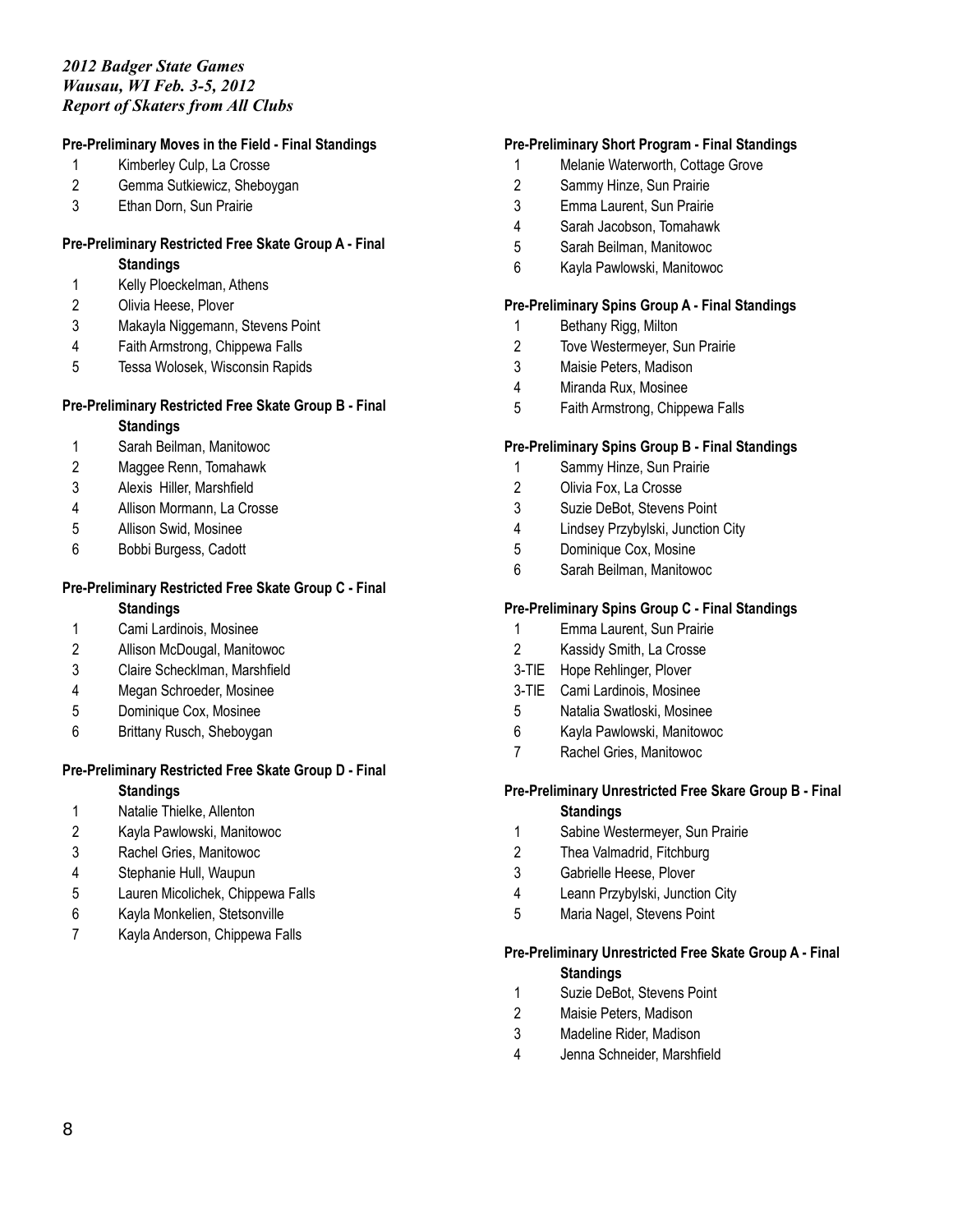# **Pre-Preliminary Moves in the Field - Final Standings**

- Kimberley Culp, La Crosse
- Gemma Sutkiewicz, Sheboygan
- Ethan Dorn, Sun Prairie

#### **Pre-Preliminary Restricted Free Skate Group A - Final Standings**

- Kelly Ploeckelman, Athens
- Olivia Heese, Plover
- Makayla Niggemann, Stevens Point
- Faith Armstrong, Chippewa Falls
- Tessa Wolosek, Wisconsin Rapids

# **Pre-Preliminary Restricted Free Skate Group B - Final**

### **Standings**

- Sarah Beilman, Manitowoc
- Maggee Renn, Tomahawk
- Alexis Hiller, Marshfield
- Allison Mormann, La Crosse
- Allison Swid, Mosinee
- Bobbi Burgess, Cadott

# **Pre-Preliminary Restricted Free Skate Group C - Final**

#### **Standings**

- Cami Lardinois, Mosinee
- Allison McDougal, Manitowoc
- Claire Schecklman, Marshfield
- Megan Schroeder, Mosinee
- Dominique Cox, Mosinee
- Brittany Rusch, Sheboygan

#### **Pre-Preliminary Restricted Free Skate Group D - Final Standings**

- Natalie Thielke, Allenton
- Kayla Pawlowski, Manitowoc
- Rachel Gries, Manitowoc
- Stephanie Hull, Waupun
- Lauren Micolichek, Chippewa Falls
- Kayla Monkelien, Stetsonville
- Kayla Anderson, Chippewa Falls

### **Pre-Preliminary Short Program - Final Standings**

- Melanie Waterworth, Cottage Grove
- Sammy Hinze, Sun Prairie
- Emma Laurent, Sun Prairie
- Sarah Jacobson, Tomahawk
- Sarah Beilman, Manitowoc
- Kayla Pawlowski, Manitowoc

### **Pre-Preliminary Spins Group A - Final Standings**

- Bethany Rigg, Milton
- Tove Westermeyer, Sun Prairie
- Maisie Peters, Madison
- Miranda Rux, Mosinee
- Faith Armstrong, Chippewa Falls

### **Pre-Preliminary Spins Group B - Final Standings**

- Sammy Hinze, Sun Prairie
- Olivia Fox, La Crosse
- Suzie DeBot, Stevens Point
- Lindsey Przybylski, Junction City
- Dominique Cox, Mosine
- Sarah Beilman, Manitowoc

# **Pre-Preliminary Spins Group C - Final Standings**

- Emma Laurent, Sun Prairie
- Kassidy Smith, La Crosse
- 3-TIE Hope Rehlinger, Plover
- 3-TIE Cami Lardinois, Mosinee
- Natalia Swatloski, Mosinee
- Kayla Pawlowski, Manitowoc
- Rachel Gries, Manitowoc

# **Pre-Preliminary Unrestricted Free Skare Group B - Final Standings**

- Sabine Westermeyer, Sun Prairie
- Thea Valmadrid, Fitchburg
- Gabrielle Heese, Plover
- Leann Przybylski, Junction City
- Maria Nagel, Stevens Point

# **Pre-Preliminary Unrestricted Free Skate Group A - Final Standings**

- Suzie DeBot, Stevens Point
- Maisie Peters, Madison
- Madeline Rider, Madison
- Jenna Schneider, Marshfield